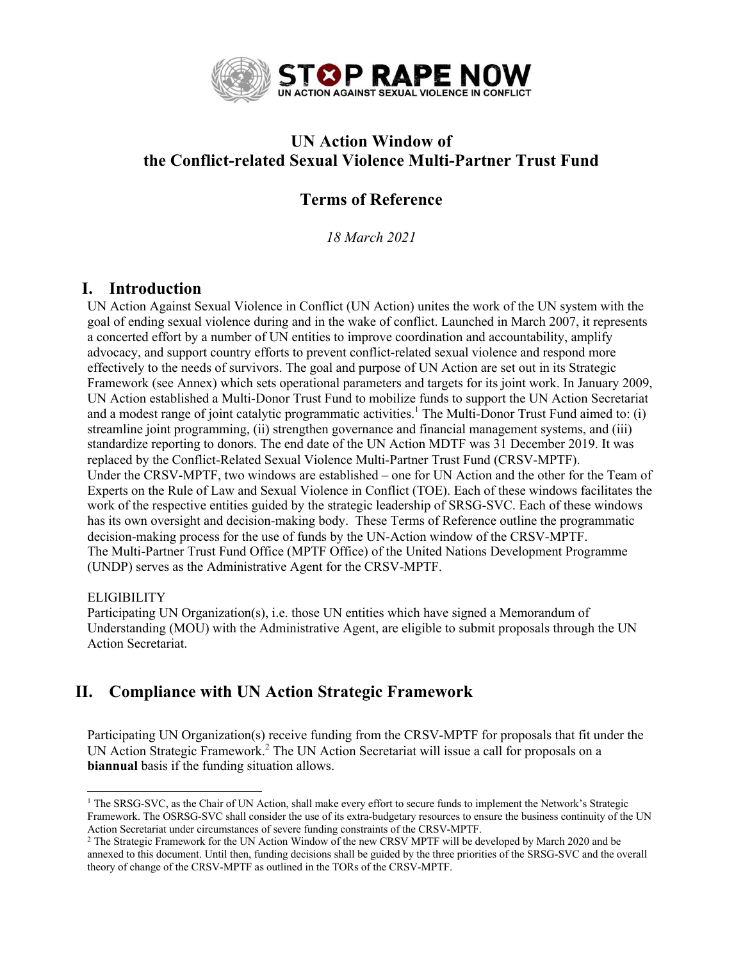

# **UN Action Window of the Conflict-related Sexual Violence Multi-Partner Trust Fund**

## **Terms of Reference**

*18 March 2021*

### **I. Introduction**

UN Action Against Sexual Violence in Conflict (UN Action) unites the work of the UN system with the goal of ending sexual violence during and in the wake of conflict. Launched in March 2007, it represents a concerted effort by a number of UN entities to improve coordination and accountability, amplify advocacy, and support country efforts to prevent conflict-related sexual violence and respond more effectively to the needs of survivors. The goal and purpose of UN Action are set out in its Strategic Framework (see Annex) which sets operational parameters and targets for its joint work. In January 2009, UN Action established a Multi-Donor Trust Fund to mobilize funds to support the UN Action Secretariat and a modest range of joint catalytic programmatic activities.<sup>1</sup> The Multi-Donor Trust Fund aimed to: (i) streamline joint programming, (ii) strengthen governance and financial management systems, and (iii) standardize reporting to donors. The end date of the UN Action MDTF was 31 December 2019. It was replaced by the Conflict-Related Sexual Violence Multi-Partner Trust Fund (CRSV-MPTF). Under the CRSV-MPTF, two windows are established – one for UN Action and the other for the Team of Experts on the Rule of Law and Sexual Violence in Conflict (TOE). Each of these windows facilitates the work of the respective entities guided by the strategic leadership of SRSG-SVC. Each of these windows has its own oversight and decision-making body. These Terms of Reference outline the programmatic decision-making process for the use of funds by the UN-Action window of the CRSV-MPTF. The Multi-Partner Trust Fund Office (MPTF Office) of the United Nations Development Programme (UNDP) serves as the Administrative Agent for the CRSV-MPTF.

### **ELIGIBILITY**

Participating UN Organization(s), i.e. those UN entities which have signed a Memorandum of Understanding (MOU) with the Administrative Agent, are eligible to submit proposals through the UN Action Secretariat.

## **II. Compliance with UN Action Strategic Framework**

Participating UN Organization(s) receive funding from the CRSV-MPTF for proposals that fit under the UN Action Strategic Framework.<sup>2</sup> The UN Action Secretariat will issue a call for proposals on a **biannual** basis if the funding situation allows.

<sup>&</sup>lt;sup>1</sup> The SRSG-SVC, as the Chair of UN Action, shall make every effort to secure funds to implement the Network's Strategic Framework. The OSRSG-SVC shall consider the use of its extra-budgetary resources to ensure the business continuity of the UN Action Secretariat under circumstances of severe funding constraints of the CRSV-MPTF.

<sup>&</sup>lt;sup>2</sup> The Strategic Framework for the UN Action Window of the new CRSV MPTF will be developed by March 2020 and be annexed to this document. Until then, funding decisions shall be guided by the three priorities of the SRSG-SVC and the overall theory of change of the CRSV-MPTF as outlined in the TORs of the CRSV-MPTF.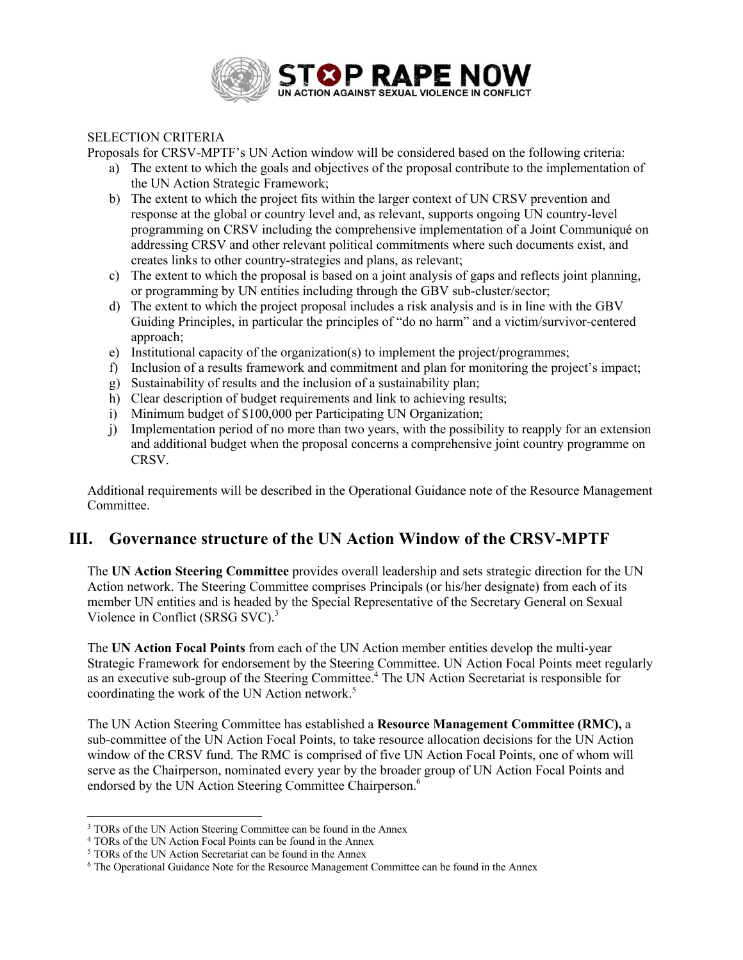

### SELECTION CRITERIA

Proposals for CRSV-MPTF's UN Action window will be considered based on the following criteria:

- a) The extent to which the goals and objectives of the proposal contribute to the implementation of the UN Action Strategic Framework;
- b) The extent to which the project fits within the larger context of UN CRSV prevention and response at the global or country level and, as relevant, supports ongoing UN country-level programming on CRSV including the comprehensive implementation of a Joint Communiqué on addressing CRSV and other relevant political commitments where such documents exist, and creates links to other country-strategies and plans, as relevant;
- c) The extent to which the proposal is based on a joint analysis of gaps and reflects joint planning, or programming by UN entities including through the GBV sub-cluster/sector;
- d) The extent to which the project proposal includes a risk analysis and is in line with the GBV Guiding Principles, in particular the principles of "do no harm" and a victim/survivor-centered approach;
- e) Institutional capacity of the organization(s) to implement the project/programmes;
- f) Inclusion of a results framework and commitment and plan for monitoring the project's impact;
- g) Sustainability of results and the inclusion of a sustainability plan;
- h) Clear description of budget requirements and link to achieving results;
- i) Minimum budget of \$100,000 per Participating UN Organization;
- j) Implementation period of no more than two years, with the possibility to reapply for an extension and additional budget when the proposal concerns a comprehensive joint country programme on CRSV.

Additional requirements will be described in the Operational Guidance note of the Resource Management Committee.

### **III. Governance structure of the UN Action Window of the CRSV-MPTF**

The **UN Action Steering Committee** provides overall leadership and sets strategic direction for the UN Action network. The Steering Committee comprises Principals (or his/her designate) from each of its member UN entities and is headed by the Special Representative of the Secretary General on Sexual Violence in Conflict (SRSG SVC).<sup>3</sup>

The **UN Action Focal Points** from each of the UN Action member entities develop the multi-year Strategic Framework for endorsement by the Steering Committee. UN Action Focal Points meet regularly as an executive sub-group of the Steering Committee.<sup>4</sup> The UN Action Secretariat is responsible for coordinating the work of the UN Action network.<sup>5</sup>

The UN Action Steering Committee has established a **Resource Management Committee (RMC),** a sub-committee of the UN Action Focal Points, to take resource allocation decisions for the UN Action window of the CRSV fund. The RMC is comprised of five UN Action Focal Points, one of whom will serve as the Chairperson, nominated every year by the broader group of UN Action Focal Points and endorsed by the UN Action Steering Committee Chairperson.<sup>6</sup>

<sup>&</sup>lt;sup>3</sup> TORs of the UN Action Steering Committee can be found in the Annex

<sup>4</sup> TORs of the UN Action Focal Points can be found in the Annex

<sup>5</sup> TORs of the UN Action Secretariat can be found in the Annex

<sup>6</sup> The Operational Guidance Note for the Resource Management Committee can be found in the Annex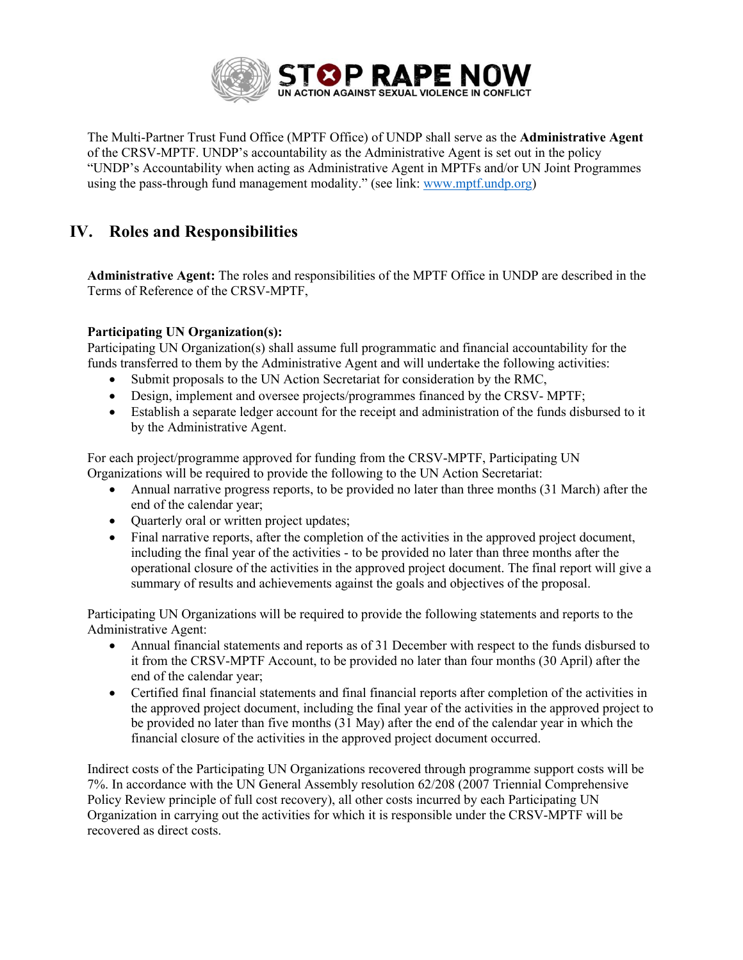

The Multi-Partner Trust Fund Office (MPTF Office) of UNDP shall serve as the **Administrative Agent** of the CRSV-MPTF. UNDP's accountability as the Administrative Agent is set out in the policy "UNDP's Accountability when acting as Administrative Agent in MPTFs and/or UN Joint Programmes using the pass-through fund management modality." (see link: www.mptf.undp.org)

# **IV. Roles and Responsibilities**

**Administrative Agent:** The roles and responsibilities of the MPTF Office in UNDP are described in the Terms of Reference of the CRSV-MPTF,

### **Participating UN Organization(s):**

Participating UN Organization(s) shall assume full programmatic and financial accountability for the funds transferred to them by the Administrative Agent and will undertake the following activities:

- Submit proposals to the UN Action Secretariat for consideration by the RMC,
- Design, implement and oversee projects/programmes financed by the CRSV-MPTF;
- Establish a separate ledger account for the receipt and administration of the funds disbursed to it by the Administrative Agent.

For each project/programme approved for funding from the CRSV-MPTF, Participating UN Organizations will be required to provide the following to the UN Action Secretariat:

- Annual narrative progress reports, to be provided no later than three months (31 March) after the end of the calendar year;
- Quarterly oral or written project updates;
- Final narrative reports, after the completion of the activities in the approved project document, including the final year of the activities - to be provided no later than three months after the operational closure of the activities in the approved project document. The final report will give a summary of results and achievements against the goals and objectives of the proposal.

Participating UN Organizations will be required to provide the following statements and reports to the Administrative Agent:

- Annual financial statements and reports as of 31 December with respect to the funds disbursed to it from the CRSV-MPTF Account, to be provided no later than four months (30 April) after the end of the calendar year;
- Certified final financial statements and final financial reports after completion of the activities in the approved project document, including the final year of the activities in the approved project to be provided no later than five months (31 May) after the end of the calendar year in which the financial closure of the activities in the approved project document occurred.

Indirect costs of the Participating UN Organizations recovered through programme support costs will be 7%. In accordance with the UN General Assembly resolution 62/208 (2007 Triennial Comprehensive Policy Review principle of full cost recovery), all other costs incurred by each Participating UN Organization in carrying out the activities for which it is responsible under the CRSV-MPTF will be recovered as direct costs.